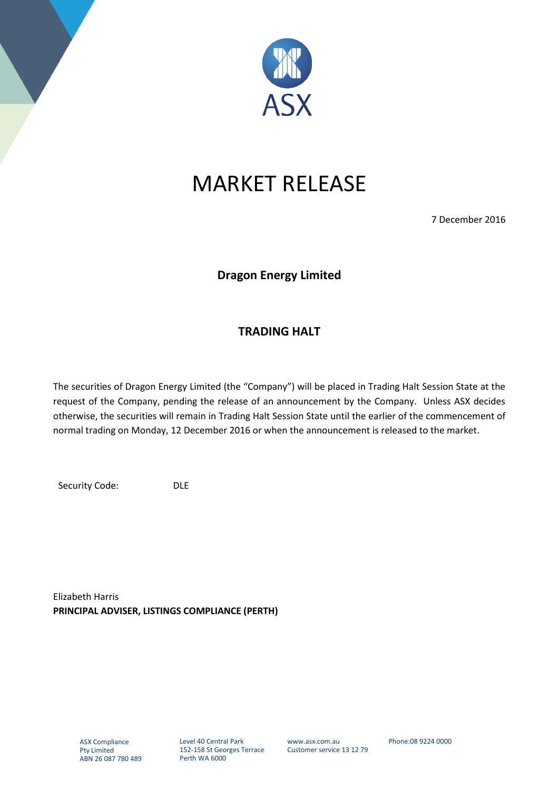

# MARKET RELEASE

7 December 2016

## **Dragon Energy Limited**

### **TRADING HALT**

The securities of Dragon Energy Limited (the "Company") will be placed in Trading Halt Session State at the request of the Company, pending the release of an announcement by the Company. Unless ASX decides otherwise, the securities will remain in Trading Halt Session State until the earlier of the commencement of normal trading on Monday, 12 December 2016 or when the announcement is released to the market.

Security Code: DLE

Elizabeth Harris **PRINCIPAL ADVISER, LISTINGS COMPLIANCE (PERTH)**

Level 40 Central Park 152-158 St Georges Terrace Perth WA 6000

www.asx.com.au Customer service 13 12 79 Phone:08 9224 0000